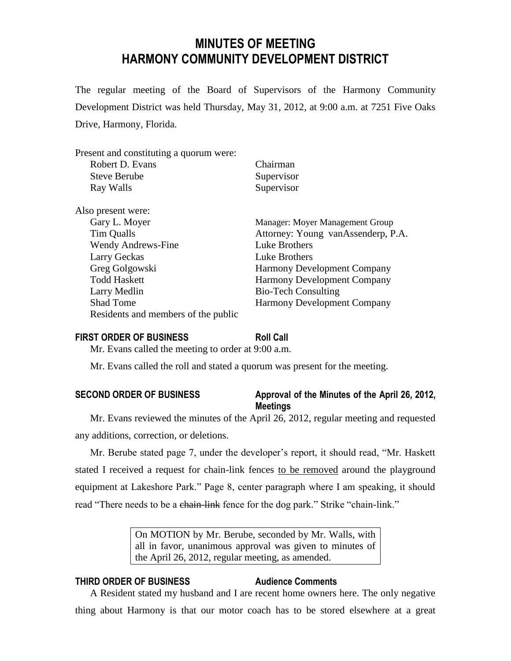# **MINUTES OF MEETING HARMONY COMMUNITY DEVELOPMENT DISTRICT**

The regular meeting of the Board of Supervisors of the Harmony Community Development District was held Thursday, May 31, 2012, at 9:00 a.m. at 7251 Five Oaks Drive, Harmony, Florida.

| Present and constituting a quorum were: |                                    |
|-----------------------------------------|------------------------------------|
| Robert D. Evans                         | Chairman                           |
| <b>Steve Berube</b>                     | Supervisor                         |
| Ray Walls                               | Supervisor                         |
| Also present were:                      |                                    |
| Gary L. Moyer                           | Manager: Moyer Management Group    |
| Tim Qualls                              | Attorney: Young vanAssenderp, P.A. |
| <b>Wendy Andrews-Fine</b>               | Luke Brothers                      |
| Larry Geckas                            | Luke Brothers                      |
| Greg Golgowski                          | <b>Harmony Development Company</b> |
| <b>Todd Haskett</b>                     | <b>Harmony Development Company</b> |
| Larry Medlin                            | <b>Bio-Tech Consulting</b>         |
| <b>Shad Tome</b>                        | <b>Harmony Development Company</b> |
| Residents and members of the public     |                                    |

### **FIRST ORDER OF BUSINESS Roll Call**

Mr. Evans called the meeting to order at 9:00 a.m.

Mr. Evans called the roll and stated a quorum was present for the meeting.

# **SECOND ORDER OF BUSINESS Approval of the Minutes of the April 26, 2012, Meetings**

Mr. Evans reviewed the minutes of the April 26, 2012, regular meeting and requested any additions, correction, or deletions.

Mr. Berube stated page 7, under the developer's report, it should read, "Mr. Haskett stated I received a request for chain-link fences to be removed around the playground equipment at Lakeshore Park." Page 8, center paragraph where I am speaking, it should read "There needs to be a chain-link fence for the dog park." Strike "chain-link."

> On MOTION by Mr. Berube, seconded by Mr. Walls, with all in favor, unanimous approval was given to minutes of the April 26, 2012, regular meeting, as amended.

# **THIRD ORDER OF BUSINESS Audience Comments**

A Resident stated my husband and I are recent home owners here. The only negative thing about Harmony is that our motor coach has to be stored elsewhere at a great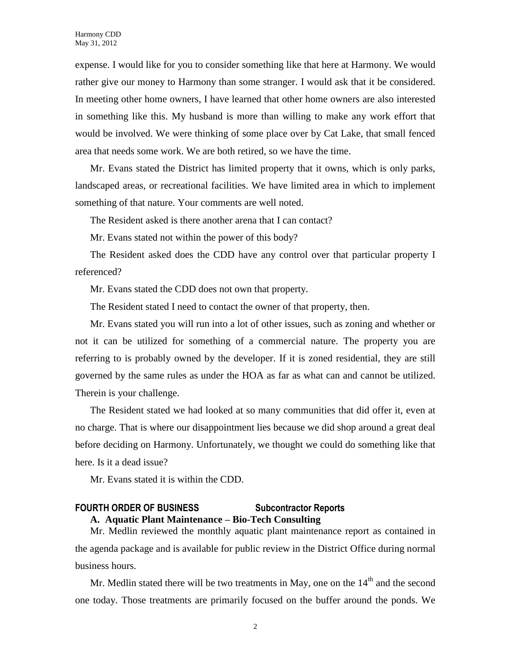expense. I would like for you to consider something like that here at Harmony. We would rather give our money to Harmony than some stranger. I would ask that it be considered. In meeting other home owners, I have learned that other home owners are also interested in something like this. My husband is more than willing to make any work effort that would be involved. We were thinking of some place over by Cat Lake, that small fenced area that needs some work. We are both retired, so we have the time.

Mr. Evans stated the District has limited property that it owns, which is only parks, landscaped areas, or recreational facilities. We have limited area in which to implement something of that nature. Your comments are well noted.

The Resident asked is there another arena that I can contact?

Mr. Evans stated not within the power of this body?

The Resident asked does the CDD have any control over that particular property I referenced?

Mr. Evans stated the CDD does not own that property.

The Resident stated I need to contact the owner of that property, then.

Mr. Evans stated you will run into a lot of other issues, such as zoning and whether or not it can be utilized for something of a commercial nature. The property you are referring to is probably owned by the developer. If it is zoned residential, they are still governed by the same rules as under the HOA as far as what can and cannot be utilized. Therein is your challenge.

The Resident stated we had looked at so many communities that did offer it, even at no charge. That is where our disappointment lies because we did shop around a great deal before deciding on Harmony. Unfortunately, we thought we could do something like that here. Is it a dead issue?

Mr. Evans stated it is within the CDD.

# **FOURTH ORDER OF BUSINESS Subcontractor Reports A. Aquatic Plant Maintenance – Bio-Tech Consulting**

Mr. Medlin reviewed the monthly aquatic plant maintenance report as contained in the agenda package and is available for public review in the District Office during normal business hours.

Mr. Medlin stated there will be two treatments in May, one on the  $14<sup>th</sup>$  and the second one today. Those treatments are primarily focused on the buffer around the ponds. We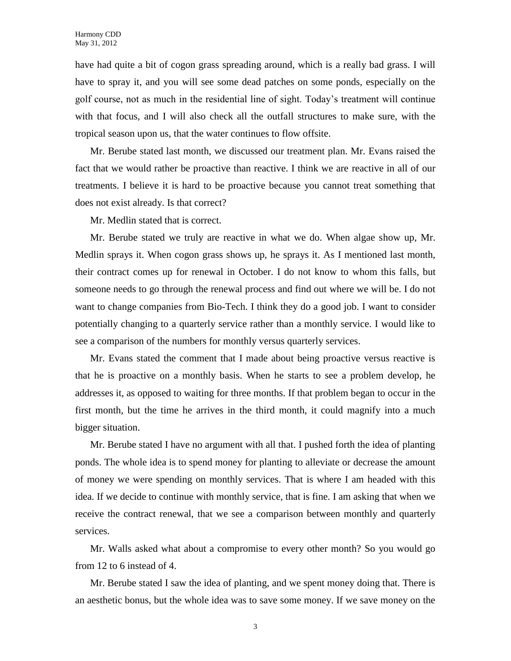have had quite a bit of cogon grass spreading around, which is a really bad grass. I will have to spray it, and you will see some dead patches on some ponds, especially on the golf course, not as much in the residential line of sight. Today's treatment will continue with that focus, and I will also check all the outfall structures to make sure, with the tropical season upon us, that the water continues to flow offsite.

Mr. Berube stated last month, we discussed our treatment plan. Mr. Evans raised the fact that we would rather be proactive than reactive. I think we are reactive in all of our treatments. I believe it is hard to be proactive because you cannot treat something that does not exist already. Is that correct?

Mr. Medlin stated that is correct.

Mr. Berube stated we truly are reactive in what we do. When algae show up, Mr. Medlin sprays it. When cogon grass shows up, he sprays it. As I mentioned last month, their contract comes up for renewal in October. I do not know to whom this falls, but someone needs to go through the renewal process and find out where we will be. I do not want to change companies from Bio-Tech. I think they do a good job. I want to consider potentially changing to a quarterly service rather than a monthly service. I would like to see a comparison of the numbers for monthly versus quarterly services.

Mr. Evans stated the comment that I made about being proactive versus reactive is that he is proactive on a monthly basis. When he starts to see a problem develop, he addresses it, as opposed to waiting for three months. If that problem began to occur in the first month, but the time he arrives in the third month, it could magnify into a much bigger situation.

Mr. Berube stated I have no argument with all that. I pushed forth the idea of planting ponds. The whole idea is to spend money for planting to alleviate or decrease the amount of money we were spending on monthly services. That is where I am headed with this idea. If we decide to continue with monthly service, that is fine. I am asking that when we receive the contract renewal, that we see a comparison between monthly and quarterly services.

Mr. Walls asked what about a compromise to every other month? So you would go from 12 to 6 instead of 4.

Mr. Berube stated I saw the idea of planting, and we spent money doing that. There is an aesthetic bonus, but the whole idea was to save some money. If we save money on the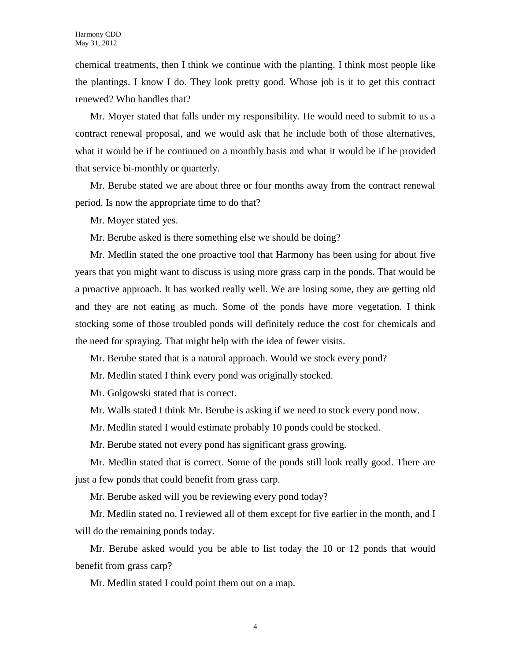chemical treatments, then I think we continue with the planting. I think most people like the plantings. I know I do. They look pretty good. Whose job is it to get this contract renewed? Who handles that?

Mr. Moyer stated that falls under my responsibility. He would need to submit to us a contract renewal proposal, and we would ask that he include both of those alternatives, what it would be if he continued on a monthly basis and what it would be if he provided that service bi-monthly or quarterly.

Mr. Berube stated we are about three or four months away from the contract renewal period. Is now the appropriate time to do that?

Mr. Moyer stated yes.

Mr. Berube asked is there something else we should be doing?

Mr. Medlin stated the one proactive tool that Harmony has been using for about five years that you might want to discuss is using more grass carp in the ponds. That would be a proactive approach. It has worked really well. We are losing some, they are getting old and they are not eating as much. Some of the ponds have more vegetation. I think stocking some of those troubled ponds will definitely reduce the cost for chemicals and the need for spraying. That might help with the idea of fewer visits.

Mr. Berube stated that is a natural approach. Would we stock every pond?

Mr. Medlin stated I think every pond was originally stocked.

Mr. Golgowski stated that is correct.

Mr. Walls stated I think Mr. Berube is asking if we need to stock every pond now.

Mr. Medlin stated I would estimate probably 10 ponds could be stocked.

Mr. Berube stated not every pond has significant grass growing.

Mr. Medlin stated that is correct. Some of the ponds still look really good. There are just a few ponds that could benefit from grass carp.

Mr. Berube asked will you be reviewing every pond today?

Mr. Medlin stated no, I reviewed all of them except for five earlier in the month, and I will do the remaining ponds today.

Mr. Berube asked would you be able to list today the 10 or 12 ponds that would benefit from grass carp?

Mr. Medlin stated I could point them out on a map.

4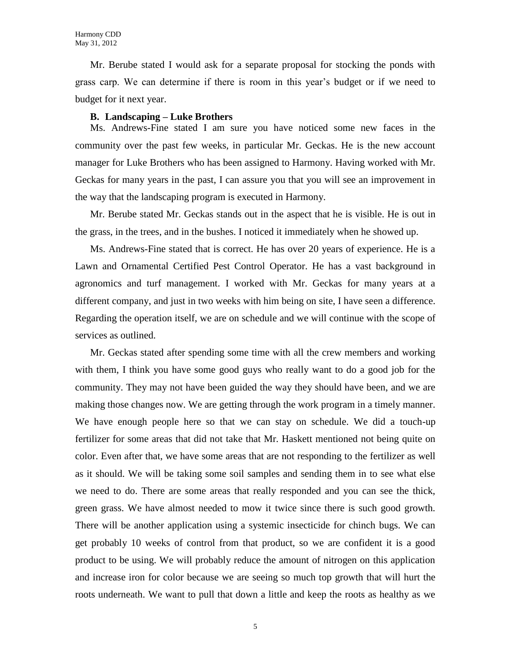Mr. Berube stated I would ask for a separate proposal for stocking the ponds with grass carp. We can determine if there is room in this year's budget or if we need to budget for it next year.

#### **B. Landscaping – Luke Brothers**

Ms. Andrews-Fine stated I am sure you have noticed some new faces in the community over the past few weeks, in particular Mr. Geckas. He is the new account manager for Luke Brothers who has been assigned to Harmony. Having worked with Mr. Geckas for many years in the past, I can assure you that you will see an improvement in the way that the landscaping program is executed in Harmony.

Mr. Berube stated Mr. Geckas stands out in the aspect that he is visible. He is out in the grass, in the trees, and in the bushes. I noticed it immediately when he showed up.

Ms. Andrews-Fine stated that is correct. He has over 20 years of experience. He is a Lawn and Ornamental Certified Pest Control Operator. He has a vast background in agronomics and turf management. I worked with Mr. Geckas for many years at a different company, and just in two weeks with him being on site, I have seen a difference. Regarding the operation itself, we are on schedule and we will continue with the scope of services as outlined.

Mr. Geckas stated after spending some time with all the crew members and working with them, I think you have some good guys who really want to do a good job for the community. They may not have been guided the way they should have been, and we are making those changes now. We are getting through the work program in a timely manner. We have enough people here so that we can stay on schedule. We did a touch-up fertilizer for some areas that did not take that Mr. Haskett mentioned not being quite on color. Even after that, we have some areas that are not responding to the fertilizer as well as it should. We will be taking some soil samples and sending them in to see what else we need to do. There are some areas that really responded and you can see the thick, green grass. We have almost needed to mow it twice since there is such good growth. There will be another application using a systemic insecticide for chinch bugs. We can get probably 10 weeks of control from that product, so we are confident it is a good product to be using. We will probably reduce the amount of nitrogen on this application and increase iron for color because we are seeing so much top growth that will hurt the roots underneath. We want to pull that down a little and keep the roots as healthy as we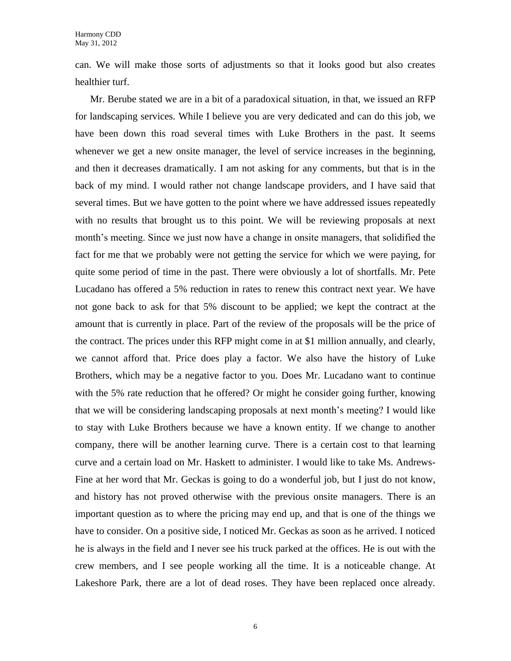can. We will make those sorts of adjustments so that it looks good but also creates healthier turf.

Mr. Berube stated we are in a bit of a paradoxical situation, in that, we issued an RFP for landscaping services. While I believe you are very dedicated and can do this job, we have been down this road several times with Luke Brothers in the past. It seems whenever we get a new onsite manager, the level of service increases in the beginning, and then it decreases dramatically. I am not asking for any comments, but that is in the back of my mind. I would rather not change landscape providers, and I have said that several times. But we have gotten to the point where we have addressed issues repeatedly with no results that brought us to this point. We will be reviewing proposals at next month's meeting. Since we just now have a change in onsite managers, that solidified the fact for me that we probably were not getting the service for which we were paying, for quite some period of time in the past. There were obviously a lot of shortfalls. Mr. Pete Lucadano has offered a 5% reduction in rates to renew this contract next year. We have not gone back to ask for that 5% discount to be applied; we kept the contract at the amount that is currently in place. Part of the review of the proposals will be the price of the contract. The prices under this RFP might come in at \$1 million annually, and clearly, we cannot afford that. Price does play a factor. We also have the history of Luke Brothers, which may be a negative factor to you. Does Mr. Lucadano want to continue with the 5% rate reduction that he offered? Or might he consider going further, knowing that we will be considering landscaping proposals at next month's meeting? I would like to stay with Luke Brothers because we have a known entity. If we change to another company, there will be another learning curve. There is a certain cost to that learning curve and a certain load on Mr. Haskett to administer. I would like to take Ms. Andrews-Fine at her word that Mr. Geckas is going to do a wonderful job, but I just do not know, and history has not proved otherwise with the previous onsite managers. There is an important question as to where the pricing may end up, and that is one of the things we have to consider. On a positive side, I noticed Mr. Geckas as soon as he arrived. I noticed he is always in the field and I never see his truck parked at the offices. He is out with the crew members, and I see people working all the time. It is a noticeable change. At Lakeshore Park, there are a lot of dead roses. They have been replaced once already.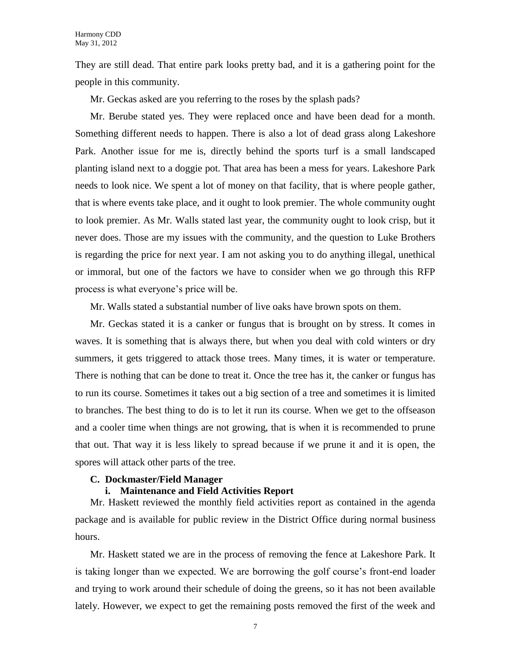They are still dead. That entire park looks pretty bad, and it is a gathering point for the people in this community.

Mr. Geckas asked are you referring to the roses by the splash pads?

Mr. Berube stated yes. They were replaced once and have been dead for a month. Something different needs to happen. There is also a lot of dead grass along Lakeshore Park. Another issue for me is, directly behind the sports turf is a small landscaped planting island next to a doggie pot. That area has been a mess for years. Lakeshore Park needs to look nice. We spent a lot of money on that facility, that is where people gather, that is where events take place, and it ought to look premier. The whole community ought to look premier. As Mr. Walls stated last year, the community ought to look crisp, but it never does. Those are my issues with the community, and the question to Luke Brothers is regarding the price for next year. I am not asking you to do anything illegal, unethical or immoral, but one of the factors we have to consider when we go through this RFP process is what everyone's price will be.

Mr. Walls stated a substantial number of live oaks have brown spots on them.

Mr. Geckas stated it is a canker or fungus that is brought on by stress. It comes in waves. It is something that is always there, but when you deal with cold winters or dry summers, it gets triggered to attack those trees. Many times, it is water or temperature. There is nothing that can be done to treat it. Once the tree has it, the canker or fungus has to run its course. Sometimes it takes out a big section of a tree and sometimes it is limited to branches. The best thing to do is to let it run its course. When we get to the offseason and a cooler time when things are not growing, that is when it is recommended to prune that out. That way it is less likely to spread because if we prune it and it is open, the spores will attack other parts of the tree.

#### **C. Dockmaster/Field Manager**

# **i. Maintenance and Field Activities Report**

Mr. Haskett reviewed the monthly field activities report as contained in the agenda package and is available for public review in the District Office during normal business hours.

Mr. Haskett stated we are in the process of removing the fence at Lakeshore Park. It is taking longer than we expected. We are borrowing the golf course's front-end loader and trying to work around their schedule of doing the greens, so it has not been available lately. However, we expect to get the remaining posts removed the first of the week and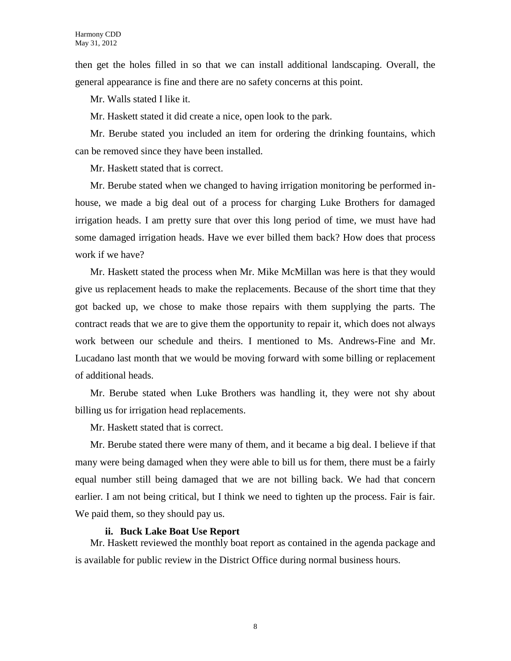then get the holes filled in so that we can install additional landscaping. Overall, the general appearance is fine and there are no safety concerns at this point.

Mr. Walls stated I like it.

Mr. Haskett stated it did create a nice, open look to the park.

Mr. Berube stated you included an item for ordering the drinking fountains, which can be removed since they have been installed.

Mr. Haskett stated that is correct.

Mr. Berube stated when we changed to having irrigation monitoring be performed inhouse, we made a big deal out of a process for charging Luke Brothers for damaged irrigation heads. I am pretty sure that over this long period of time, we must have had some damaged irrigation heads. Have we ever billed them back? How does that process work if we have?

Mr. Haskett stated the process when Mr. Mike McMillan was here is that they would give us replacement heads to make the replacements. Because of the short time that they got backed up, we chose to make those repairs with them supplying the parts. The contract reads that we are to give them the opportunity to repair it, which does not always work between our schedule and theirs. I mentioned to Ms. Andrews-Fine and Mr. Lucadano last month that we would be moving forward with some billing or replacement of additional heads.

Mr. Berube stated when Luke Brothers was handling it, they were not shy about billing us for irrigation head replacements.

Mr. Haskett stated that is correct.

Mr. Berube stated there were many of them, and it became a big deal. I believe if that many were being damaged when they were able to bill us for them, there must be a fairly equal number still being damaged that we are not billing back. We had that concern earlier. I am not being critical, but I think we need to tighten up the process. Fair is fair. We paid them, so they should pay us.

#### **ii. Buck Lake Boat Use Report**

Mr. Haskett reviewed the monthly boat report as contained in the agenda package and is available for public review in the District Office during normal business hours.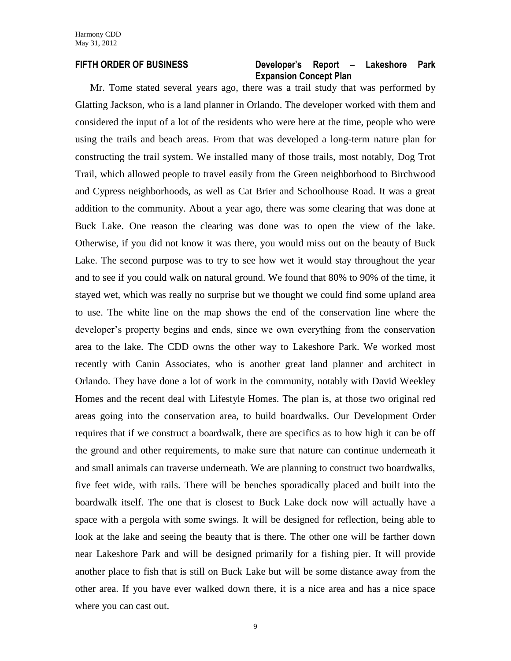### **FIFTH ORDER OF BUSINESS Developer's Report – Lakeshore Park Expansion Concept Plan**

Mr. Tome stated several years ago, there was a trail study that was performed by Glatting Jackson, who is a land planner in Orlando. The developer worked with them and considered the input of a lot of the residents who were here at the time, people who were using the trails and beach areas. From that was developed a long-term nature plan for constructing the trail system. We installed many of those trails, most notably, Dog Trot Trail, which allowed people to travel easily from the Green neighborhood to Birchwood and Cypress neighborhoods, as well as Cat Brier and Schoolhouse Road. It was a great addition to the community. About a year ago, there was some clearing that was done at Buck Lake. One reason the clearing was done was to open the view of the lake. Otherwise, if you did not know it was there, you would miss out on the beauty of Buck Lake. The second purpose was to try to see how wet it would stay throughout the year and to see if you could walk on natural ground. We found that 80% to 90% of the time, it stayed wet, which was really no surprise but we thought we could find some upland area to use. The white line on the map shows the end of the conservation line where the developer's property begins and ends, since we own everything from the conservation area to the lake. The CDD owns the other way to Lakeshore Park. We worked most recently with Canin Associates, who is another great land planner and architect in Orlando. They have done a lot of work in the community, notably with David Weekley Homes and the recent deal with Lifestyle Homes. The plan is, at those two original red areas going into the conservation area, to build boardwalks. Our Development Order requires that if we construct a boardwalk, there are specifics as to how high it can be off the ground and other requirements, to make sure that nature can continue underneath it and small animals can traverse underneath. We are planning to construct two boardwalks, five feet wide, with rails. There will be benches sporadically placed and built into the boardwalk itself. The one that is closest to Buck Lake dock now will actually have a space with a pergola with some swings. It will be designed for reflection, being able to look at the lake and seeing the beauty that is there. The other one will be farther down near Lakeshore Park and will be designed primarily for a fishing pier. It will provide another place to fish that is still on Buck Lake but will be some distance away from the other area. If you have ever walked down there, it is a nice area and has a nice space where you can cast out.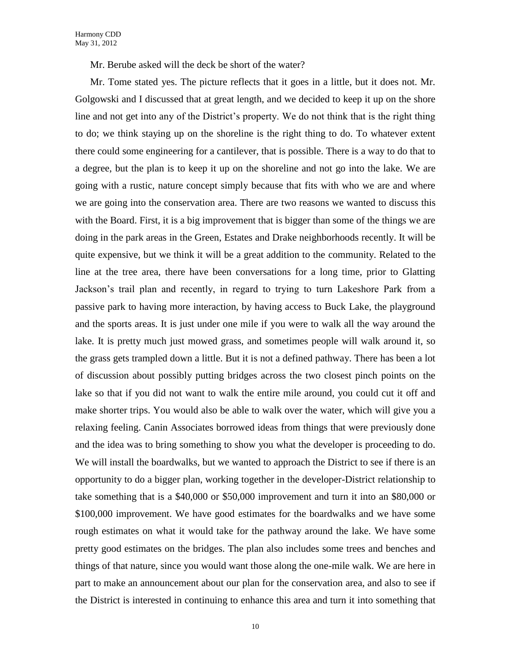Mr. Berube asked will the deck be short of the water?

Mr. Tome stated yes. The picture reflects that it goes in a little, but it does not. Mr. Golgowski and I discussed that at great length, and we decided to keep it up on the shore line and not get into any of the District's property. We do not think that is the right thing to do; we think staying up on the shoreline is the right thing to do. To whatever extent there could some engineering for a cantilever, that is possible. There is a way to do that to a degree, but the plan is to keep it up on the shoreline and not go into the lake. We are going with a rustic, nature concept simply because that fits with who we are and where we are going into the conservation area. There are two reasons we wanted to discuss this with the Board. First, it is a big improvement that is bigger than some of the things we are doing in the park areas in the Green, Estates and Drake neighborhoods recently. It will be quite expensive, but we think it will be a great addition to the community. Related to the line at the tree area, there have been conversations for a long time, prior to Glatting Jackson's trail plan and recently, in regard to trying to turn Lakeshore Park from a passive park to having more interaction, by having access to Buck Lake, the playground and the sports areas. It is just under one mile if you were to walk all the way around the lake. It is pretty much just mowed grass, and sometimes people will walk around it, so the grass gets trampled down a little. But it is not a defined pathway. There has been a lot of discussion about possibly putting bridges across the two closest pinch points on the lake so that if you did not want to walk the entire mile around, you could cut it off and make shorter trips. You would also be able to walk over the water, which will give you a relaxing feeling. Canin Associates borrowed ideas from things that were previously done and the idea was to bring something to show you what the developer is proceeding to do. We will install the boardwalks, but we wanted to approach the District to see if there is an opportunity to do a bigger plan, working together in the developer-District relationship to take something that is a \$40,000 or \$50,000 improvement and turn it into an \$80,000 or \$100,000 improvement. We have good estimates for the boardwalks and we have some rough estimates on what it would take for the pathway around the lake. We have some pretty good estimates on the bridges. The plan also includes some trees and benches and things of that nature, since you would want those along the one-mile walk. We are here in part to make an announcement about our plan for the conservation area, and also to see if the District is interested in continuing to enhance this area and turn it into something that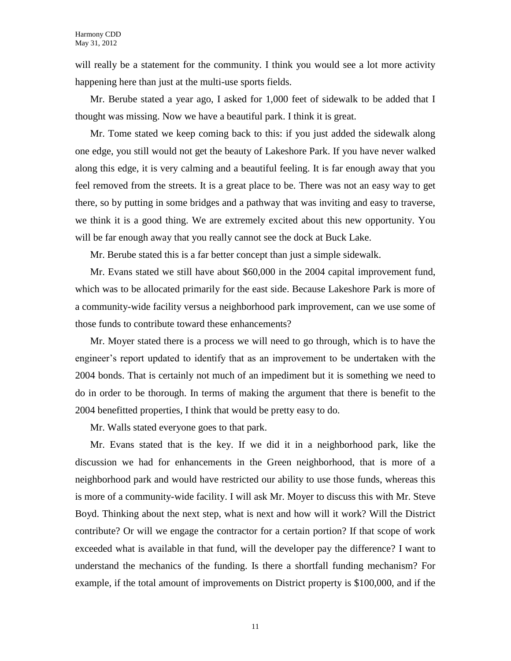will really be a statement for the community. I think you would see a lot more activity happening here than just at the multi-use sports fields.

Mr. Berube stated a year ago, I asked for 1,000 feet of sidewalk to be added that I thought was missing. Now we have a beautiful park. I think it is great.

Mr. Tome stated we keep coming back to this: if you just added the sidewalk along one edge, you still would not get the beauty of Lakeshore Park. If you have never walked along this edge, it is very calming and a beautiful feeling. It is far enough away that you feel removed from the streets. It is a great place to be. There was not an easy way to get there, so by putting in some bridges and a pathway that was inviting and easy to traverse, we think it is a good thing. We are extremely excited about this new opportunity. You will be far enough away that you really cannot see the dock at Buck Lake.

Mr. Berube stated this is a far better concept than just a simple sidewalk.

Mr. Evans stated we still have about \$60,000 in the 2004 capital improvement fund, which was to be allocated primarily for the east side. Because Lakeshore Park is more of a community-wide facility versus a neighborhood park improvement, can we use some of those funds to contribute toward these enhancements?

Mr. Moyer stated there is a process we will need to go through, which is to have the engineer's report updated to identify that as an improvement to be undertaken with the 2004 bonds. That is certainly not much of an impediment but it is something we need to do in order to be thorough. In terms of making the argument that there is benefit to the 2004 benefitted properties, I think that would be pretty easy to do.

Mr. Walls stated everyone goes to that park.

Mr. Evans stated that is the key. If we did it in a neighborhood park, like the discussion we had for enhancements in the Green neighborhood, that is more of a neighborhood park and would have restricted our ability to use those funds, whereas this is more of a community-wide facility. I will ask Mr. Moyer to discuss this with Mr. Steve Boyd. Thinking about the next step, what is next and how will it work? Will the District contribute? Or will we engage the contractor for a certain portion? If that scope of work exceeded what is available in that fund, will the developer pay the difference? I want to understand the mechanics of the funding. Is there a shortfall funding mechanism? For example, if the total amount of improvements on District property is \$100,000, and if the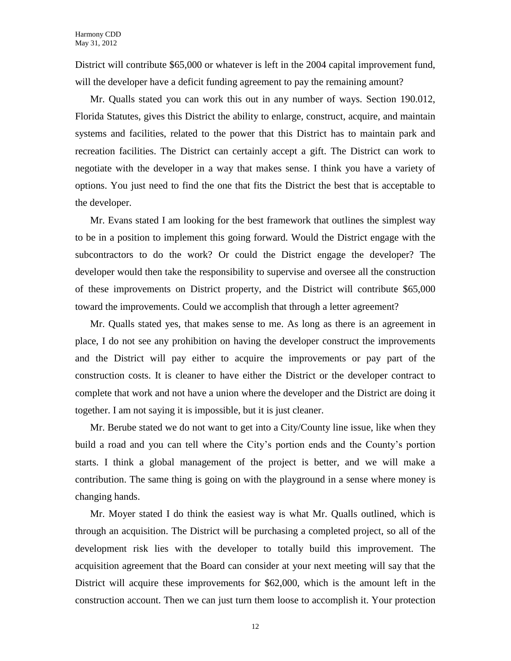District will contribute \$65,000 or whatever is left in the 2004 capital improvement fund, will the developer have a deficit funding agreement to pay the remaining amount?

Mr. Qualls stated you can work this out in any number of ways. Section 190.012, Florida Statutes, gives this District the ability to enlarge, construct, acquire, and maintain systems and facilities, related to the power that this District has to maintain park and recreation facilities. The District can certainly accept a gift. The District can work to negotiate with the developer in a way that makes sense. I think you have a variety of options. You just need to find the one that fits the District the best that is acceptable to the developer.

Mr. Evans stated I am looking for the best framework that outlines the simplest way to be in a position to implement this going forward. Would the District engage with the subcontractors to do the work? Or could the District engage the developer? The developer would then take the responsibility to supervise and oversee all the construction of these improvements on District property, and the District will contribute \$65,000 toward the improvements. Could we accomplish that through a letter agreement?

Mr. Qualls stated yes, that makes sense to me. As long as there is an agreement in place, I do not see any prohibition on having the developer construct the improvements and the District will pay either to acquire the improvements or pay part of the construction costs. It is cleaner to have either the District or the developer contract to complete that work and not have a union where the developer and the District are doing it together. I am not saying it is impossible, but it is just cleaner.

Mr. Berube stated we do not want to get into a City/County line issue, like when they build a road and you can tell where the City's portion ends and the County's portion starts. I think a global management of the project is better, and we will make a contribution. The same thing is going on with the playground in a sense where money is changing hands.

Mr. Moyer stated I do think the easiest way is what Mr. Qualls outlined, which is through an acquisition. The District will be purchasing a completed project, so all of the development risk lies with the developer to totally build this improvement. The acquisition agreement that the Board can consider at your next meeting will say that the District will acquire these improvements for \$62,000, which is the amount left in the construction account. Then we can just turn them loose to accomplish it. Your protection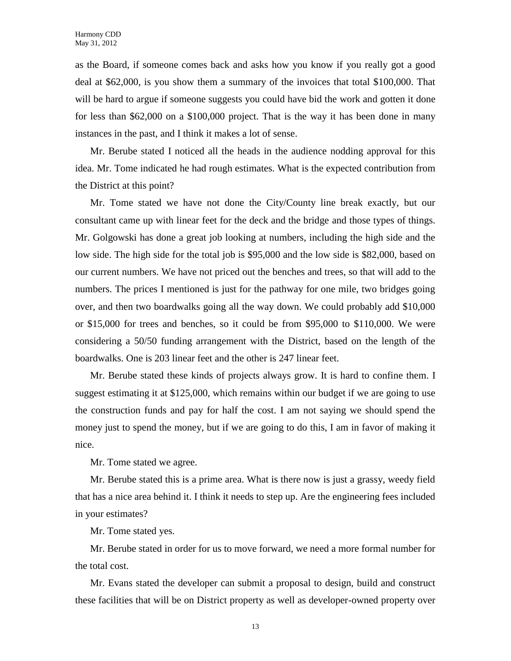as the Board, if someone comes back and asks how you know if you really got a good deal at \$62,000, is you show them a summary of the invoices that total \$100,000. That will be hard to argue if someone suggests you could have bid the work and gotten it done for less than \$62,000 on a \$100,000 project. That is the way it has been done in many instances in the past, and I think it makes a lot of sense.

Mr. Berube stated I noticed all the heads in the audience nodding approval for this idea. Mr. Tome indicated he had rough estimates. What is the expected contribution from the District at this point?

Mr. Tome stated we have not done the City/County line break exactly, but our consultant came up with linear feet for the deck and the bridge and those types of things. Mr. Golgowski has done a great job looking at numbers, including the high side and the low side. The high side for the total job is \$95,000 and the low side is \$82,000, based on our current numbers. We have not priced out the benches and trees, so that will add to the numbers. The prices I mentioned is just for the pathway for one mile, two bridges going over, and then two boardwalks going all the way down. We could probably add \$10,000 or \$15,000 for trees and benches, so it could be from \$95,000 to \$110,000. We were considering a 50/50 funding arrangement with the District, based on the length of the boardwalks. One is 203 linear feet and the other is 247 linear feet.

Mr. Berube stated these kinds of projects always grow. It is hard to confine them. I suggest estimating it at \$125,000, which remains within our budget if we are going to use the construction funds and pay for half the cost. I am not saying we should spend the money just to spend the money, but if we are going to do this, I am in favor of making it nice.

Mr. Tome stated we agree.

Mr. Berube stated this is a prime area. What is there now is just a grassy, weedy field that has a nice area behind it. I think it needs to step up. Are the engineering fees included in your estimates?

Mr. Tome stated yes.

Mr. Berube stated in order for us to move forward, we need a more formal number for the total cost.

Mr. Evans stated the developer can submit a proposal to design, build and construct these facilities that will be on District property as well as developer-owned property over

13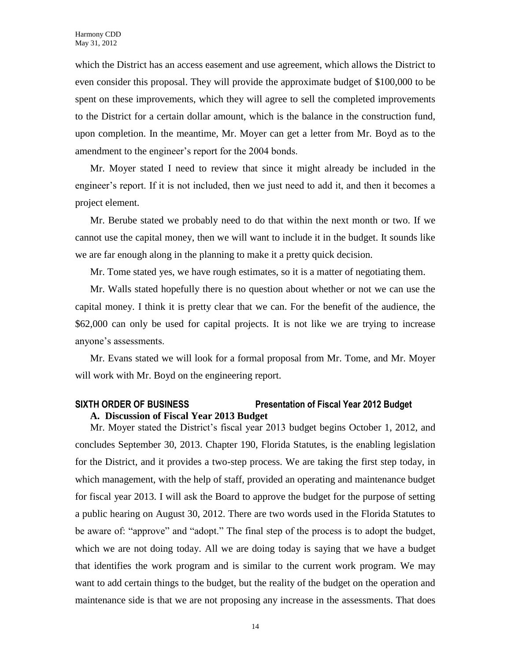which the District has an access easement and use agreement, which allows the District to even consider this proposal. They will provide the approximate budget of \$100,000 to be spent on these improvements, which they will agree to sell the completed improvements to the District for a certain dollar amount, which is the balance in the construction fund, upon completion. In the meantime, Mr. Moyer can get a letter from Mr. Boyd as to the amendment to the engineer's report for the 2004 bonds.

Mr. Moyer stated I need to review that since it might already be included in the engineer's report. If it is not included, then we just need to add it, and then it becomes a project element.

Mr. Berube stated we probably need to do that within the next month or two. If we cannot use the capital money, then we will want to include it in the budget. It sounds like we are far enough along in the planning to make it a pretty quick decision.

Mr. Tome stated yes, we have rough estimates, so it is a matter of negotiating them.

Mr. Walls stated hopefully there is no question about whether or not we can use the capital money. I think it is pretty clear that we can. For the benefit of the audience, the \$62,000 can only be used for capital projects. It is not like we are trying to increase anyone's assessments.

Mr. Evans stated we will look for a formal proposal from Mr. Tome, and Mr. Moyer will work with Mr. Boyd on the engineering report.

# **SIXTH ORDER OF BUSINESS Presentation of Fiscal Year 2012 Budget A. Discussion of Fiscal Year 2013 Budget**

Mr. Moyer stated the District's fiscal year 2013 budget begins October 1, 2012, and concludes September 30, 2013. Chapter 190, Florida Statutes, is the enabling legislation for the District, and it provides a two-step process. We are taking the first step today, in which management, with the help of staff, provided an operating and maintenance budget for fiscal year 2013. I will ask the Board to approve the budget for the purpose of setting a public hearing on August 30, 2012. There are two words used in the Florida Statutes to be aware of: "approve" and "adopt." The final step of the process is to adopt the budget, which we are not doing today. All we are doing today is saying that we have a budget that identifies the work program and is similar to the current work program. We may want to add certain things to the budget, but the reality of the budget on the operation and maintenance side is that we are not proposing any increase in the assessments. That does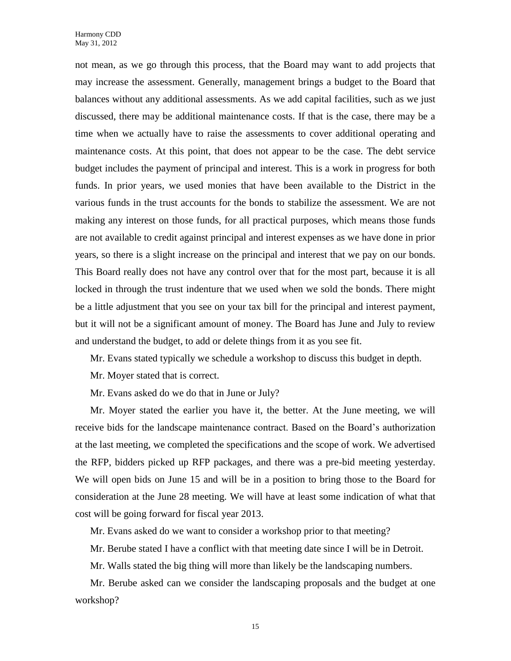not mean, as we go through this process, that the Board may want to add projects that may increase the assessment. Generally, management brings a budget to the Board that balances without any additional assessments. As we add capital facilities, such as we just discussed, there may be additional maintenance costs. If that is the case, there may be a time when we actually have to raise the assessments to cover additional operating and maintenance costs. At this point, that does not appear to be the case. The debt service budget includes the payment of principal and interest. This is a work in progress for both funds. In prior years, we used monies that have been available to the District in the various funds in the trust accounts for the bonds to stabilize the assessment. We are not making any interest on those funds, for all practical purposes, which means those funds are not available to credit against principal and interest expenses as we have done in prior years, so there is a slight increase on the principal and interest that we pay on our bonds. This Board really does not have any control over that for the most part, because it is all locked in through the trust indenture that we used when we sold the bonds. There might be a little adjustment that you see on your tax bill for the principal and interest payment, but it will not be a significant amount of money. The Board has June and July to review and understand the budget, to add or delete things from it as you see fit.

Mr. Evans stated typically we schedule a workshop to discuss this budget in depth.

Mr. Moyer stated that is correct.

Mr. Evans asked do we do that in June or July?

Mr. Moyer stated the earlier you have it, the better. At the June meeting, we will receive bids for the landscape maintenance contract. Based on the Board's authorization at the last meeting, we completed the specifications and the scope of work. We advertised the RFP, bidders picked up RFP packages, and there was a pre-bid meeting yesterday. We will open bids on June 15 and will be in a position to bring those to the Board for consideration at the June 28 meeting. We will have at least some indication of what that cost will be going forward for fiscal year 2013.

Mr. Evans asked do we want to consider a workshop prior to that meeting?

Mr. Berube stated I have a conflict with that meeting date since I will be in Detroit.

Mr. Walls stated the big thing will more than likely be the landscaping numbers.

Mr. Berube asked can we consider the landscaping proposals and the budget at one workshop?

15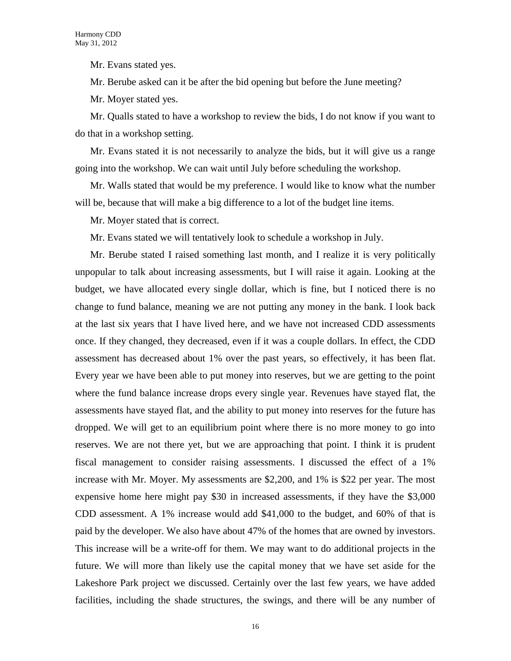Mr. Evans stated yes.

Mr. Berube asked can it be after the bid opening but before the June meeting?

Mr. Moyer stated yes.

Mr. Qualls stated to have a workshop to review the bids, I do not know if you want to do that in a workshop setting.

Mr. Evans stated it is not necessarily to analyze the bids, but it will give us a range going into the workshop. We can wait until July before scheduling the workshop.

Mr. Walls stated that would be my preference. I would like to know what the number will be, because that will make a big difference to a lot of the budget line items.

Mr. Moyer stated that is correct.

Mr. Evans stated we will tentatively look to schedule a workshop in July.

Mr. Berube stated I raised something last month, and I realize it is very politically unpopular to talk about increasing assessments, but I will raise it again. Looking at the budget, we have allocated every single dollar, which is fine, but I noticed there is no change to fund balance, meaning we are not putting any money in the bank. I look back at the last six years that I have lived here, and we have not increased CDD assessments once. If they changed, they decreased, even if it was a couple dollars. In effect, the CDD assessment has decreased about 1% over the past years, so effectively, it has been flat. Every year we have been able to put money into reserves, but we are getting to the point where the fund balance increase drops every single year. Revenues have stayed flat, the assessments have stayed flat, and the ability to put money into reserves for the future has dropped. We will get to an equilibrium point where there is no more money to go into reserves. We are not there yet, but we are approaching that point. I think it is prudent fiscal management to consider raising assessments. I discussed the effect of a 1% increase with Mr. Moyer. My assessments are \$2,200, and 1% is \$22 per year. The most expensive home here might pay \$30 in increased assessments, if they have the \$3,000 CDD assessment. A 1% increase would add \$41,000 to the budget, and 60% of that is paid by the developer. We also have about 47% of the homes that are owned by investors. This increase will be a write-off for them. We may want to do additional projects in the future. We will more than likely use the capital money that we have set aside for the Lakeshore Park project we discussed. Certainly over the last few years, we have added facilities, including the shade structures, the swings, and there will be any number of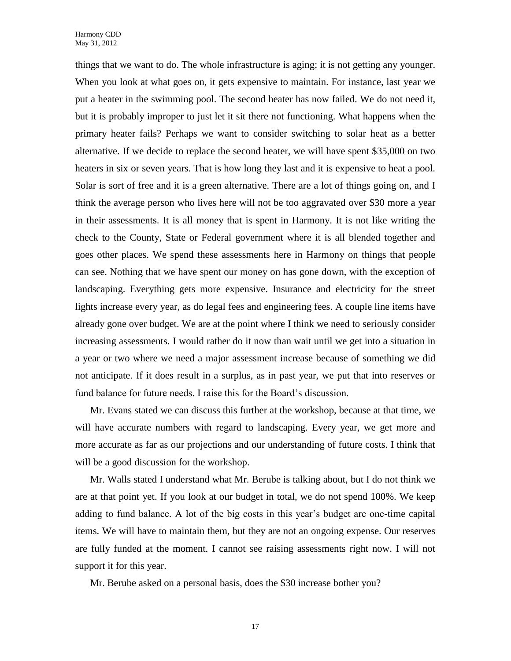things that we want to do. The whole infrastructure is aging; it is not getting any younger. When you look at what goes on, it gets expensive to maintain. For instance, last year we put a heater in the swimming pool. The second heater has now failed. We do not need it, but it is probably improper to just let it sit there not functioning. What happens when the primary heater fails? Perhaps we want to consider switching to solar heat as a better alternative. If we decide to replace the second heater, we will have spent \$35,000 on two heaters in six or seven years. That is how long they last and it is expensive to heat a pool. Solar is sort of free and it is a green alternative. There are a lot of things going on, and I think the average person who lives here will not be too aggravated over \$30 more a year in their assessments. It is all money that is spent in Harmony. It is not like writing the check to the County, State or Federal government where it is all blended together and goes other places. We spend these assessments here in Harmony on things that people can see. Nothing that we have spent our money on has gone down, with the exception of landscaping. Everything gets more expensive. Insurance and electricity for the street lights increase every year, as do legal fees and engineering fees. A couple line items have already gone over budget. We are at the point where I think we need to seriously consider increasing assessments. I would rather do it now than wait until we get into a situation in a year or two where we need a major assessment increase because of something we did not anticipate. If it does result in a surplus, as in past year, we put that into reserves or fund balance for future needs. I raise this for the Board's discussion.

Mr. Evans stated we can discuss this further at the workshop, because at that time, we will have accurate numbers with regard to landscaping. Every year, we get more and more accurate as far as our projections and our understanding of future costs. I think that will be a good discussion for the workshop.

Mr. Walls stated I understand what Mr. Berube is talking about, but I do not think we are at that point yet. If you look at our budget in total, we do not spend 100%. We keep adding to fund balance. A lot of the big costs in this year's budget are one-time capital items. We will have to maintain them, but they are not an ongoing expense. Our reserves are fully funded at the moment. I cannot see raising assessments right now. I will not support it for this year.

Mr. Berube asked on a personal basis, does the \$30 increase bother you?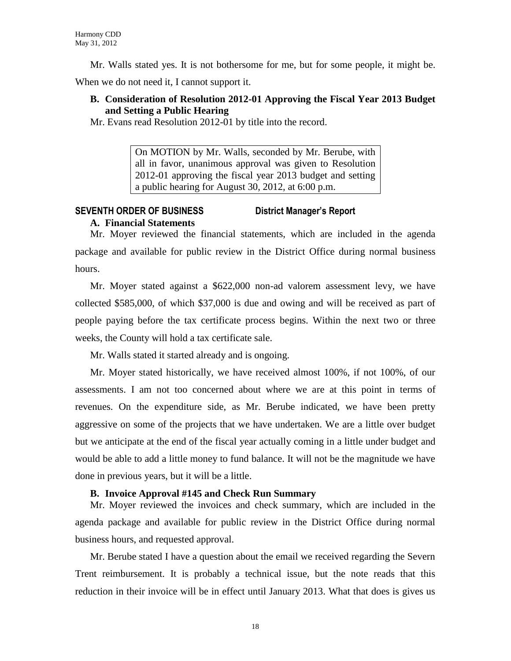Mr. Walls stated yes. It is not bothersome for me, but for some people, it might be.

When we do not need it, I cannot support it.

# **B. Consideration of Resolution 2012-01 Approving the Fiscal Year 2013 Budget and Setting a Public Hearing**

Mr. Evans read Resolution 2012-01 by title into the record.

On MOTION by Mr. Walls, seconded by Mr. Berube, with all in favor, unanimous approval was given to Resolution 2012-01 approving the fiscal year 2013 budget and setting a public hearing for August 30, 2012, at 6:00 p.m.

# **SEVENTH ORDER OF BUSINESS District Manager's Report A. Financial Statements**

Mr. Moyer reviewed the financial statements, which are included in the agenda package and available for public review in the District Office during normal business hours.

Mr. Moyer stated against a \$622,000 non-ad valorem assessment levy, we have collected \$585,000, of which \$37,000 is due and owing and will be received as part of people paying before the tax certificate process begins. Within the next two or three weeks, the County will hold a tax certificate sale.

Mr. Walls stated it started already and is ongoing.

Mr. Moyer stated historically, we have received almost 100%, if not 100%, of our assessments. I am not too concerned about where we are at this point in terms of revenues. On the expenditure side, as Mr. Berube indicated, we have been pretty aggressive on some of the projects that we have undertaken. We are a little over budget but we anticipate at the end of the fiscal year actually coming in a little under budget and would be able to add a little money to fund balance. It will not be the magnitude we have done in previous years, but it will be a little.

### **B. Invoice Approval #145 and Check Run Summary**

Mr. Moyer reviewed the invoices and check summary, which are included in the agenda package and available for public review in the District Office during normal business hours, and requested approval.

Mr. Berube stated I have a question about the email we received regarding the Severn Trent reimbursement. It is probably a technical issue, but the note reads that this reduction in their invoice will be in effect until January 2013. What that does is gives us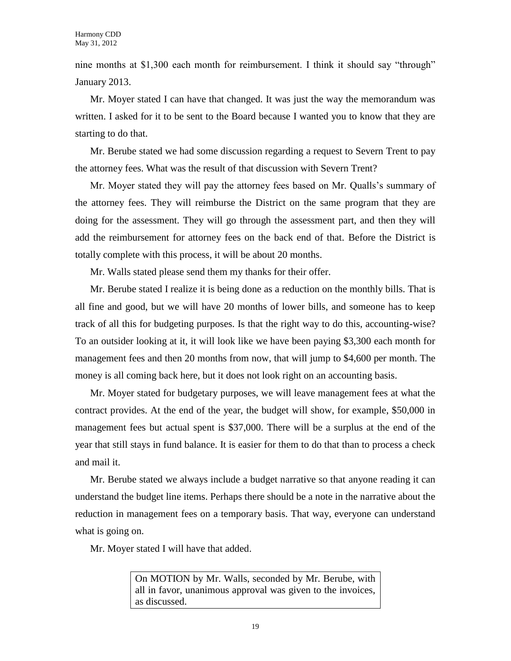nine months at \$1,300 each month for reimbursement. I think it should say "through" January 2013.

Mr. Moyer stated I can have that changed. It was just the way the memorandum was written. I asked for it to be sent to the Board because I wanted you to know that they are starting to do that.

Mr. Berube stated we had some discussion regarding a request to Severn Trent to pay the attorney fees. What was the result of that discussion with Severn Trent?

Mr. Moyer stated they will pay the attorney fees based on Mr. Qualls's summary of the attorney fees. They will reimburse the District on the same program that they are doing for the assessment. They will go through the assessment part, and then they will add the reimbursement for attorney fees on the back end of that. Before the District is totally complete with this process, it will be about 20 months.

Mr. Walls stated please send them my thanks for their offer.

Mr. Berube stated I realize it is being done as a reduction on the monthly bills. That is all fine and good, but we will have 20 months of lower bills, and someone has to keep track of all this for budgeting purposes. Is that the right way to do this, accounting-wise? To an outsider looking at it, it will look like we have been paying \$3,300 each month for management fees and then 20 months from now, that will jump to \$4,600 per month. The money is all coming back here, but it does not look right on an accounting basis.

Mr. Moyer stated for budgetary purposes, we will leave management fees at what the contract provides. At the end of the year, the budget will show, for example, \$50,000 in management fees but actual spent is \$37,000. There will be a surplus at the end of the year that still stays in fund balance. It is easier for them to do that than to process a check and mail it.

Mr. Berube stated we always include a budget narrative so that anyone reading it can understand the budget line items. Perhaps there should be a note in the narrative about the reduction in management fees on a temporary basis. That way, everyone can understand what is going on.

Mr. Moyer stated I will have that added.

On MOTION by Mr. Walls, seconded by Mr. Berube, with all in favor, unanimous approval was given to the invoices, as discussed.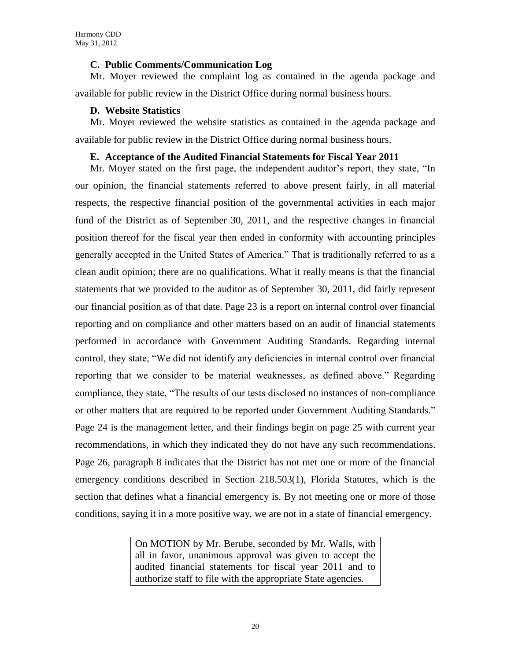## **C. Public Comments/Communication Log**

Mr. Moyer reviewed the complaint log as contained in the agenda package and available for public review in the District Office during normal business hours.

# **D. Website Statistics**

Mr. Moyer reviewed the website statistics as contained in the agenda package and available for public review in the District Office during normal business hours.

# **E. Acceptance of the Audited Financial Statements for Fiscal Year 2011**

Mr. Moyer stated on the first page, the independent auditor's report, they state, "In our opinion, the financial statements referred to above present fairly, in all material respects, the respective financial position of the governmental activities in each major fund of the District as of September 30, 2011, and the respective changes in financial position thereof for the fiscal year then ended in conformity with accounting principles generally accepted in the United States of America." That is traditionally referred to as a clean audit opinion; there are no qualifications. What it really means is that the financial statements that we provided to the auditor as of September 30, 2011, did fairly represent our financial position as of that date. Page 23 is a report on internal control over financial reporting and on compliance and other matters based on an audit of financial statements performed in accordance with Government Auditing Standards. Regarding internal control, they state, "We did not identify any deficiencies in internal control over financial reporting that we consider to be material weaknesses, as defined above." Regarding compliance, they state, "The results of our tests disclosed no instances of non-compliance or other matters that are required to be reported under Government Auditing Standards." Page 24 is the management letter, and their findings begin on page 25 with current year recommendations, in which they indicated they do not have any such recommendations. Page 26, paragraph 8 indicates that the District has not met one or more of the financial emergency conditions described in Section 218.503(1), Florida Statutes, which is the section that defines what a financial emergency is. By not meeting one or more of those conditions, saying it in a more positive way, we are not in a state of financial emergency.

> On MOTION by Mr. Berube, seconded by Mr. Walls, with all in favor, unanimous approval was given to accept the audited financial statements for fiscal year 2011 and to authorize staff to file with the appropriate State agencies.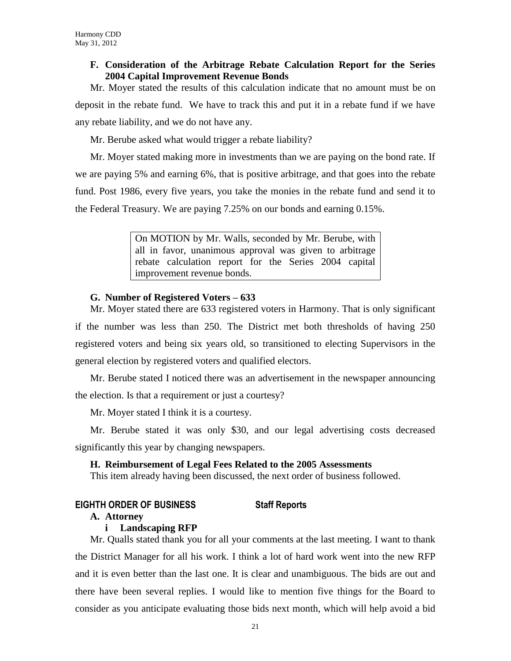# **F. Consideration of the Arbitrage Rebate Calculation Report for the Series 2004 Capital Improvement Revenue Bonds**

Mr. Moyer stated the results of this calculation indicate that no amount must be on deposit in the rebate fund. We have to track this and put it in a rebate fund if we have any rebate liability, and we do not have any.

Mr. Berube asked what would trigger a rebate liability?

Mr. Moyer stated making more in investments than we are paying on the bond rate. If we are paying 5% and earning 6%, that is positive arbitrage, and that goes into the rebate fund. Post 1986, every five years, you take the monies in the rebate fund and send it to the Federal Treasury. We are paying 7.25% on our bonds and earning 0.15%.

> On MOTION by Mr. Walls, seconded by Mr. Berube, with all in favor, unanimous approval was given to arbitrage rebate calculation report for the Series 2004 capital improvement revenue bonds.

# **G. Number of Registered Voters – 633**

Mr. Moyer stated there are 633 registered voters in Harmony. That is only significant if the number was less than 250. The District met both thresholds of having 250 registered voters and being six years old, so transitioned to electing Supervisors in the general election by registered voters and qualified electors.

Mr. Berube stated I noticed there was an advertisement in the newspaper announcing the election. Is that a requirement or just a courtesy?

Mr. Moyer stated I think it is a courtesy.

Mr. Berube stated it was only \$30, and our legal advertising costs decreased significantly this year by changing newspapers.

# **H. Reimbursement of Legal Fees Related to the 2005 Assessments**

This item already having been discussed, the next order of business followed.

# **EIGHTH ORDER OF BUSINESS Staff Reports**

# **A. Attorney**

# **i Landscaping RFP**

Mr. Qualls stated thank you for all your comments at the last meeting. I want to thank the District Manager for all his work. I think a lot of hard work went into the new RFP and it is even better than the last one. It is clear and unambiguous. The bids are out and there have been several replies. I would like to mention five things for the Board to consider as you anticipate evaluating those bids next month, which will help avoid a bid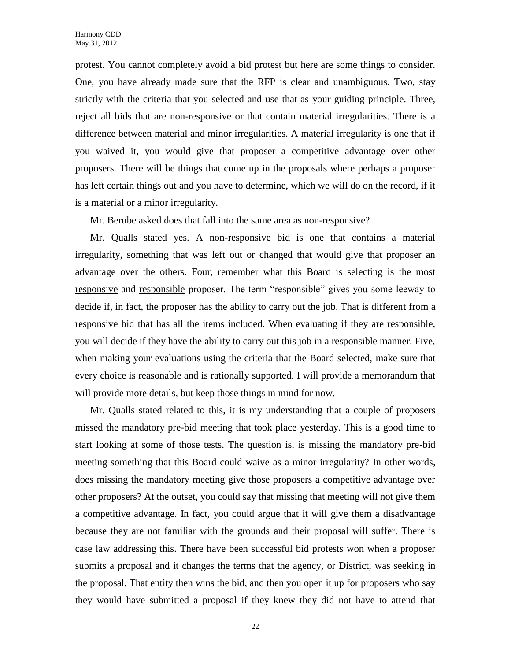protest. You cannot completely avoid a bid protest but here are some things to consider. One, you have already made sure that the RFP is clear and unambiguous. Two, stay strictly with the criteria that you selected and use that as your guiding principle. Three, reject all bids that are non-responsive or that contain material irregularities. There is a difference between material and minor irregularities. A material irregularity is one that if you waived it, you would give that proposer a competitive advantage over other proposers. There will be things that come up in the proposals where perhaps a proposer has left certain things out and you have to determine, which we will do on the record, if it is a material or a minor irregularity.

Mr. Berube asked does that fall into the same area as non-responsive?

Mr. Qualls stated yes. A non-responsive bid is one that contains a material irregularity, something that was left out or changed that would give that proposer an advantage over the others. Four, remember what this Board is selecting is the most responsive and responsible proposer. The term "responsible" gives you some leeway to decide if, in fact, the proposer has the ability to carry out the job. That is different from a responsive bid that has all the items included. When evaluating if they are responsible, you will decide if they have the ability to carry out this job in a responsible manner. Five, when making your evaluations using the criteria that the Board selected, make sure that every choice is reasonable and is rationally supported. I will provide a memorandum that will provide more details, but keep those things in mind for now.

Mr. Qualls stated related to this, it is my understanding that a couple of proposers missed the mandatory pre-bid meeting that took place yesterday. This is a good time to start looking at some of those tests. The question is, is missing the mandatory pre-bid meeting something that this Board could waive as a minor irregularity? In other words, does missing the mandatory meeting give those proposers a competitive advantage over other proposers? At the outset, you could say that missing that meeting will not give them a competitive advantage. In fact, you could argue that it will give them a disadvantage because they are not familiar with the grounds and their proposal will suffer. There is case law addressing this. There have been successful bid protests won when a proposer submits a proposal and it changes the terms that the agency, or District, was seeking in the proposal. That entity then wins the bid, and then you open it up for proposers who say they would have submitted a proposal if they knew they did not have to attend that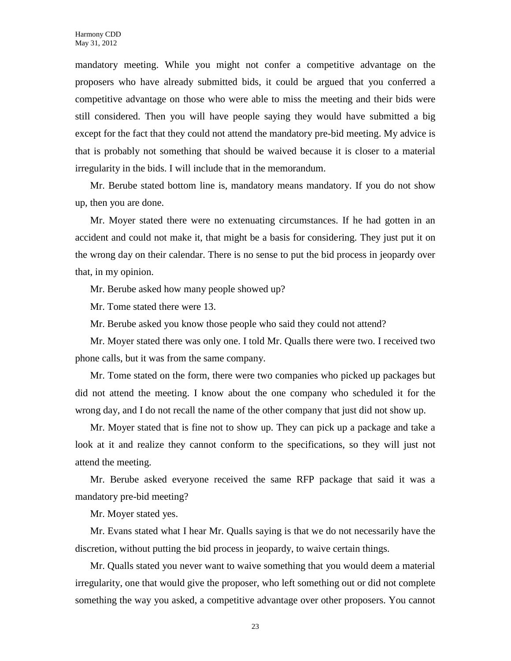mandatory meeting. While you might not confer a competitive advantage on the proposers who have already submitted bids, it could be argued that you conferred a competitive advantage on those who were able to miss the meeting and their bids were still considered. Then you will have people saying they would have submitted a big except for the fact that they could not attend the mandatory pre-bid meeting. My advice is that is probably not something that should be waived because it is closer to a material irregularity in the bids. I will include that in the memorandum.

Mr. Berube stated bottom line is, mandatory means mandatory. If you do not show up, then you are done.

Mr. Moyer stated there were no extenuating circumstances. If he had gotten in an accident and could not make it, that might be a basis for considering. They just put it on the wrong day on their calendar. There is no sense to put the bid process in jeopardy over that, in my opinion.

Mr. Berube asked how many people showed up?

Mr. Tome stated there were 13.

Mr. Berube asked you know those people who said they could not attend?

Mr. Moyer stated there was only one. I told Mr. Qualls there were two. I received two phone calls, but it was from the same company.

Mr. Tome stated on the form, there were two companies who picked up packages but did not attend the meeting. I know about the one company who scheduled it for the wrong day, and I do not recall the name of the other company that just did not show up.

Mr. Moyer stated that is fine not to show up. They can pick up a package and take a look at it and realize they cannot conform to the specifications, so they will just not attend the meeting.

Mr. Berube asked everyone received the same RFP package that said it was a mandatory pre-bid meeting?

Mr. Moyer stated yes.

Mr. Evans stated what I hear Mr. Qualls saying is that we do not necessarily have the discretion, without putting the bid process in jeopardy, to waive certain things.

Mr. Qualls stated you never want to waive something that you would deem a material irregularity, one that would give the proposer, who left something out or did not complete something the way you asked, a competitive advantage over other proposers. You cannot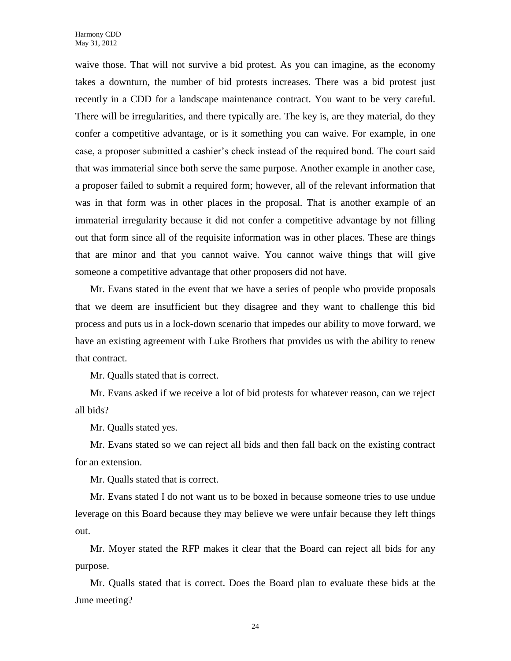waive those. That will not survive a bid protest. As you can imagine, as the economy takes a downturn, the number of bid protests increases. There was a bid protest just recently in a CDD for a landscape maintenance contract. You want to be very careful. There will be irregularities, and there typically are. The key is, are they material, do they confer a competitive advantage, or is it something you can waive. For example, in one case, a proposer submitted a cashier's check instead of the required bond. The court said that was immaterial since both serve the same purpose. Another example in another case, a proposer failed to submit a required form; however, all of the relevant information that was in that form was in other places in the proposal. That is another example of an immaterial irregularity because it did not confer a competitive advantage by not filling out that form since all of the requisite information was in other places. These are things that are minor and that you cannot waive. You cannot waive things that will give someone a competitive advantage that other proposers did not have.

Mr. Evans stated in the event that we have a series of people who provide proposals that we deem are insufficient but they disagree and they want to challenge this bid process and puts us in a lock-down scenario that impedes our ability to move forward, we have an existing agreement with Luke Brothers that provides us with the ability to renew that contract.

Mr. Qualls stated that is correct.

Mr. Evans asked if we receive a lot of bid protests for whatever reason, can we reject all bids?

Mr. Qualls stated yes.

Mr. Evans stated so we can reject all bids and then fall back on the existing contract for an extension.

Mr. Qualls stated that is correct.

Mr. Evans stated I do not want us to be boxed in because someone tries to use undue leverage on this Board because they may believe we were unfair because they left things out.

Mr. Moyer stated the RFP makes it clear that the Board can reject all bids for any purpose.

Mr. Qualls stated that is correct. Does the Board plan to evaluate these bids at the June meeting?

24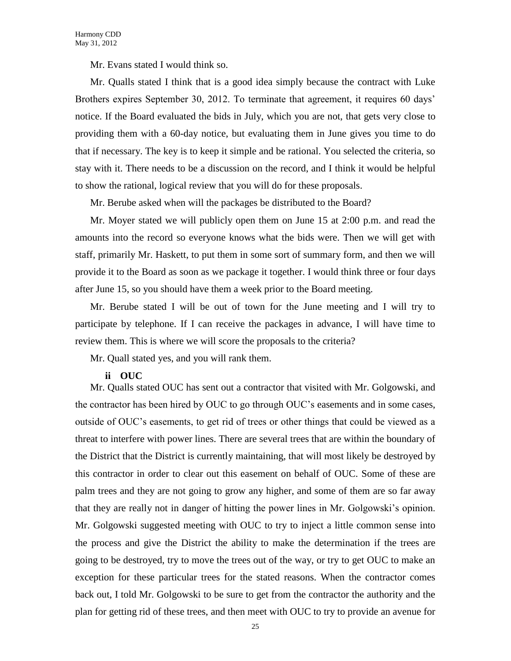Mr. Evans stated I would think so.

Mr. Qualls stated I think that is a good idea simply because the contract with Luke Brothers expires September 30, 2012. To terminate that agreement, it requires 60 days' notice. If the Board evaluated the bids in July, which you are not, that gets very close to providing them with a 60-day notice, but evaluating them in June gives you time to do that if necessary. The key is to keep it simple and be rational. You selected the criteria, so stay with it. There needs to be a discussion on the record, and I think it would be helpful to show the rational, logical review that you will do for these proposals.

Mr. Berube asked when will the packages be distributed to the Board?

Mr. Moyer stated we will publicly open them on June 15 at 2:00 p.m. and read the amounts into the record so everyone knows what the bids were. Then we will get with staff, primarily Mr. Haskett, to put them in some sort of summary form, and then we will provide it to the Board as soon as we package it together. I would think three or four days after June 15, so you should have them a week prior to the Board meeting.

Mr. Berube stated I will be out of town for the June meeting and I will try to participate by telephone. If I can receive the packages in advance, I will have time to review them. This is where we will score the proposals to the criteria?

Mr. Quall stated yes, and you will rank them.

#### **ii OUC**

Mr. Qualls stated OUC has sent out a contractor that visited with Mr. Golgowski, and the contractor has been hired by OUC to go through OUC's easements and in some cases, outside of OUC's easements, to get rid of trees or other things that could be viewed as a threat to interfere with power lines. There are several trees that are within the boundary of the District that the District is currently maintaining, that will most likely be destroyed by this contractor in order to clear out this easement on behalf of OUC. Some of these are palm trees and they are not going to grow any higher, and some of them are so far away that they are really not in danger of hitting the power lines in Mr. Golgowski's opinion. Mr. Golgowski suggested meeting with OUC to try to inject a little common sense into the process and give the District the ability to make the determination if the trees are going to be destroyed, try to move the trees out of the way, or try to get OUC to make an exception for these particular trees for the stated reasons. When the contractor comes back out, I told Mr. Golgowski to be sure to get from the contractor the authority and the plan for getting rid of these trees, and then meet with OUC to try to provide an avenue for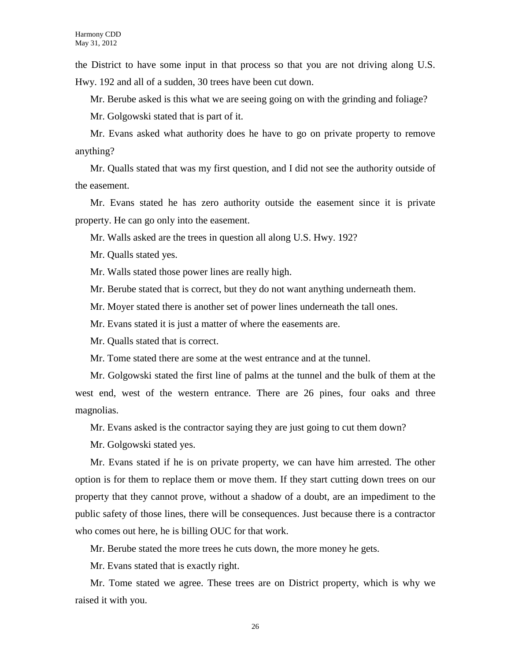the District to have some input in that process so that you are not driving along U.S. Hwy. 192 and all of a sudden, 30 trees have been cut down.

Mr. Berube asked is this what we are seeing going on with the grinding and foliage?

Mr. Golgowski stated that is part of it.

Mr. Evans asked what authority does he have to go on private property to remove anything?

Mr. Qualls stated that was my first question, and I did not see the authority outside of the easement.

Mr. Evans stated he has zero authority outside the easement since it is private property. He can go only into the easement.

Mr. Walls asked are the trees in question all along U.S. Hwy. 192?

Mr. Qualls stated yes.

Mr. Walls stated those power lines are really high.

Mr. Berube stated that is correct, but they do not want anything underneath them.

Mr. Moyer stated there is another set of power lines underneath the tall ones.

Mr. Evans stated it is just a matter of where the easements are.

Mr. Qualls stated that is correct.

Mr. Tome stated there are some at the west entrance and at the tunnel.

Mr. Golgowski stated the first line of palms at the tunnel and the bulk of them at the west end, west of the western entrance. There are 26 pines, four oaks and three magnolias.

Mr. Evans asked is the contractor saying they are just going to cut them down?

Mr. Golgowski stated yes.

Mr. Evans stated if he is on private property, we can have him arrested. The other option is for them to replace them or move them. If they start cutting down trees on our property that they cannot prove, without a shadow of a doubt, are an impediment to the public safety of those lines, there will be consequences. Just because there is a contractor who comes out here, he is billing OUC for that work.

Mr. Berube stated the more trees he cuts down, the more money he gets.

Mr. Evans stated that is exactly right.

Mr. Tome stated we agree. These trees are on District property, which is why we raised it with you.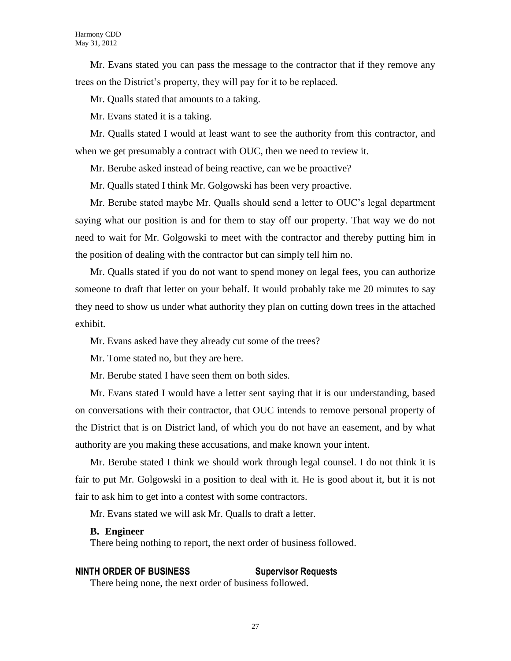Mr. Evans stated you can pass the message to the contractor that if they remove any trees on the District's property, they will pay for it to be replaced.

Mr. Qualls stated that amounts to a taking.

Mr. Evans stated it is a taking.

Mr. Qualls stated I would at least want to see the authority from this contractor, and when we get presumably a contract with OUC, then we need to review it.

Mr. Berube asked instead of being reactive, can we be proactive?

Mr. Qualls stated I think Mr. Golgowski has been very proactive.

Mr. Berube stated maybe Mr. Qualls should send a letter to OUC's legal department saying what our position is and for them to stay off our property. That way we do not need to wait for Mr. Golgowski to meet with the contractor and thereby putting him in the position of dealing with the contractor but can simply tell him no.

Mr. Qualls stated if you do not want to spend money on legal fees, you can authorize someone to draft that letter on your behalf. It would probably take me 20 minutes to say they need to show us under what authority they plan on cutting down trees in the attached exhibit.

Mr. Evans asked have they already cut some of the trees?

Mr. Tome stated no, but they are here.

Mr. Berube stated I have seen them on both sides.

Mr. Evans stated I would have a letter sent saying that it is our understanding, based on conversations with their contractor, that OUC intends to remove personal property of the District that is on District land, of which you do not have an easement, and by what authority are you making these accusations, and make known your intent.

Mr. Berube stated I think we should work through legal counsel. I do not think it is fair to put Mr. Golgowski in a position to deal with it. He is good about it, but it is not fair to ask him to get into a contest with some contractors.

Mr. Evans stated we will ask Mr. Qualls to draft a letter.

#### **B. Engineer**

There being nothing to report, the next order of business followed.

# **NINTH ORDER OF BUSINESS Supervisor Requests**

There being none, the next order of business followed.